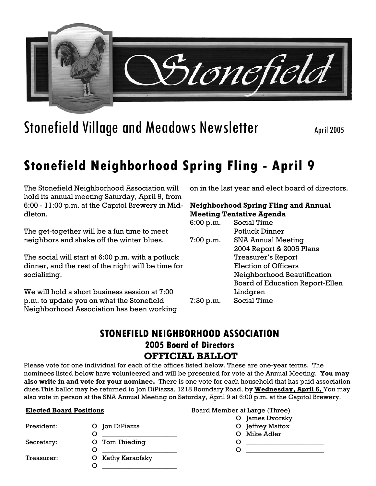

# Stonefield Village and Meadows Newsletter April 2005

# **Stonefield Neighborhood Spring Fling - April 9**

The Stonefield Neighborhood Association will hold its annual meeting Saturday, April 9, from 6:00 - 11:00 p.m. at the Capitol Brewery in Middleton.

The get-together will be a fun time to meet neighbors and shake off the winter blues.

The social will start at 6:00 p.m. with a potluck dinner, and the rest of the night will be time for socializing.

We will hold a short business session at 7:00 p.m. to update you on what the Stonefield Neighborhood Association has been working on in the last year and elect board of directors.

#### **Neighborhood Spring Fling and Annual Meeting Tentative Agenda**

| 6:00 p.m. | Social Time                            |
|-----------|----------------------------------------|
|           | <b>Potluck Dinner</b>                  |
| 7:00 p.m. | <b>SNA Annual Meeting</b>              |
|           | 2004 Report & 2005 Plans               |
|           | <b>Treasurer's Report</b>              |
|           | <b>Election of Officers</b>            |
|           | Neighborhood Beautification            |
|           | <b>Board of Education Report-Ellen</b> |
|           | Lindgren                               |
| 7:30 p.m. | <b>Social Time</b>                     |
|           |                                        |

### **STONEFIELD NEIGHBORHOOD ASSOCIATION 2005 Board of Directors OFFICIAL BALLOT**

Please vote for one individual for each of the offices listed below. These are one-year terms. The nominees listed below have volunteered and will be presented for vote at the Annual Meeting. **You may also write in and vote for your nominee.** There is one vote for each household that has paid association dues.This ballot may be returned to Jon DiPiazza, 1218 Boundary Road, by **Wednesday, April 6,** You may also vote in person at the SNA Annual Meeting on Saturday, April 9 at 6:00 p.m. at the Capitol Brewery.

#### **Elected Board Positions**

| President: | O Jon DiPiazza    |
|------------|-------------------|
|            | O                 |
| Secretary: | O Tom Thieding    |
|            | ( )               |
| Treasurer: | O Kathy Karaofsky |
|            |                   |

| Board Member at Large (Three) |                  |
|-------------------------------|------------------|
|                               | O James Dvorsky  |
|                               | O Jeffrey Mattox |
|                               | O Mike Adler     |
| O                             |                  |
| ( )                           |                  |
|                               |                  |